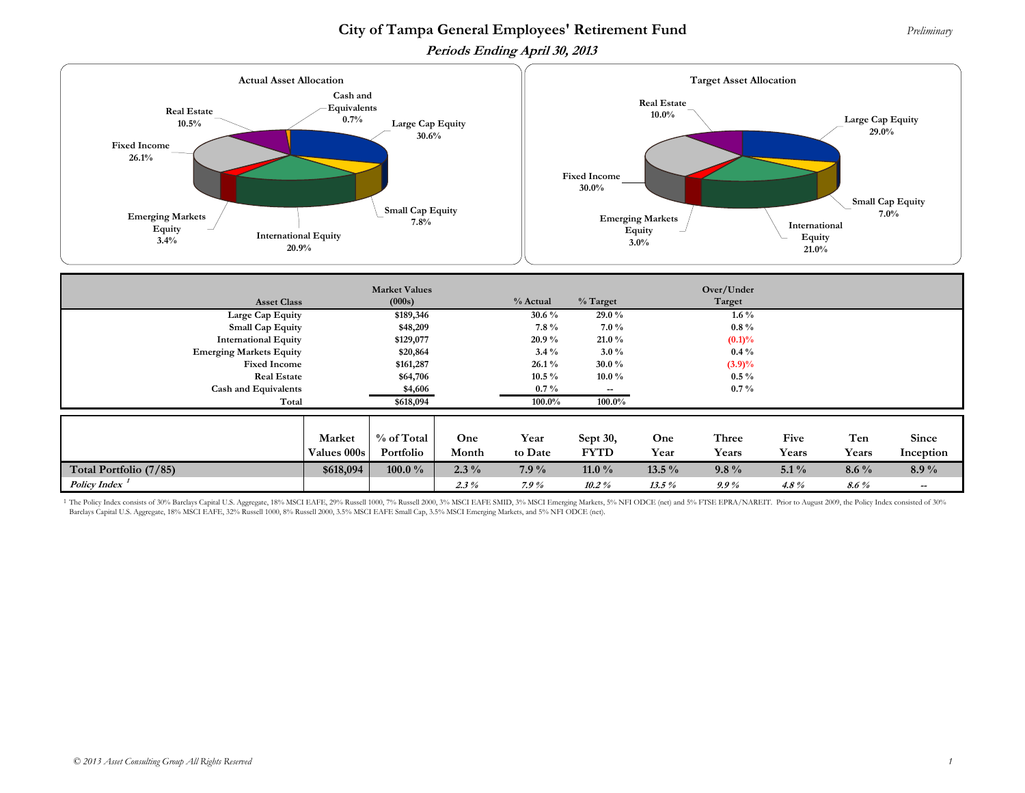## **City of Tampa General Employees' Retirement Fund** *Preliminary*

**Periods Ending April 30, 2013** 



| <b>Asset Class</b>          | <b>Market Values</b><br>(000s) |            |          |                       | Over/Under<br>$%$ Target<br>Target |          |           |         |         |                          |
|-----------------------------|--------------------------------|------------|----------|-----------------------|------------------------------------|----------|-----------|---------|---------|--------------------------|
| Large Cap Equity            |                                | \$189,346  |          | % Actual<br>30.6 $\%$ | 29.0%                              |          | $1.6\%$   |         |         |                          |
| <b>Small Cap Equity</b>     |                                | \$48,209   |          | $7.8\%$               | $7.0\%$                            |          | $0.8\%$   |         |         |                          |
| <b>International Equity</b> |                                | \$129,077  |          | 20.9%                 | $21.0\%$                           |          | $(0.1)\%$ |         |         |                          |
|                             | <b>Emerging Markets Equity</b> |            | \$20,864 |                       | $3.0\%$                            |          | $0.4\%$   |         |         |                          |
| <b>Fixed Income</b>         |                                | \$161,287  |          | $26.1\%$              | $30.0\%$                           |          | $(3.9)\%$ |         |         |                          |
| <b>Real Estate</b>          |                                | \$64,706   |          | $10.5\%$              | $10.0\%$                           |          | $0.5\%$   |         |         |                          |
| <b>Cash and Equivalents</b> |                                | \$4,606    |          | $0.7\%$               | $\overline{\phantom{a}}$           |          | $0.7\%$   |         |         |                          |
| Total                       |                                | \$618,094  |          | $100.0\%$             | 100.0%                             |          |           |         |         |                          |
|                             |                                |            |          |                       |                                    |          |           |         |         |                          |
|                             | Market                         | % of Total | One      | Year                  | Sept 30,                           | One      | Three     | Five    | Ten     | Since                    |
|                             | Values 000s                    | Portfolio  | Month    | to Date               | <b>FYTD</b>                        | Year     | Years     | Years   | Years   | Inception                |
| Total Portfolio (7/85)      | \$618,094                      | 100.0 $\%$ | $2.3\%$  | $7.9\%$               | 11.0 $\%$                          | $13.5\%$ | $9.8\%$   | $5.1\%$ | $8.6\%$ | $8.9\%$                  |
| <b>Policy Index</b>         |                                |            | $2.3\%$  | $7.9\%$               | $10.2\%$                           | $13.5\%$ | $9.9\%$   | 4.8 $%$ | $8.6\%$ | $\overline{\phantom{a}}$ |

<sup>1</sup> The Policy Index consists of 30% Barclays Capital U.S. Aggregate, 18% MSCI EAFE, 29% Russell 1000, 7% Russell 2000, 3% MSCI EAFE SMID, 3% MSCI Emerging Markets, 5% NFI ODCE (net) and 5% FTSE EPRA/NAREIT. Prior to Augus Barclays Capital U.S. Aggregate, 18% MSCI EAFE, 32% Russell 1000, 8% Russell 2000, 3.5% MSCI EAFE Small Cap, 3.5% MSCI Emerging Markets, and 5% NFI ODCE (net).